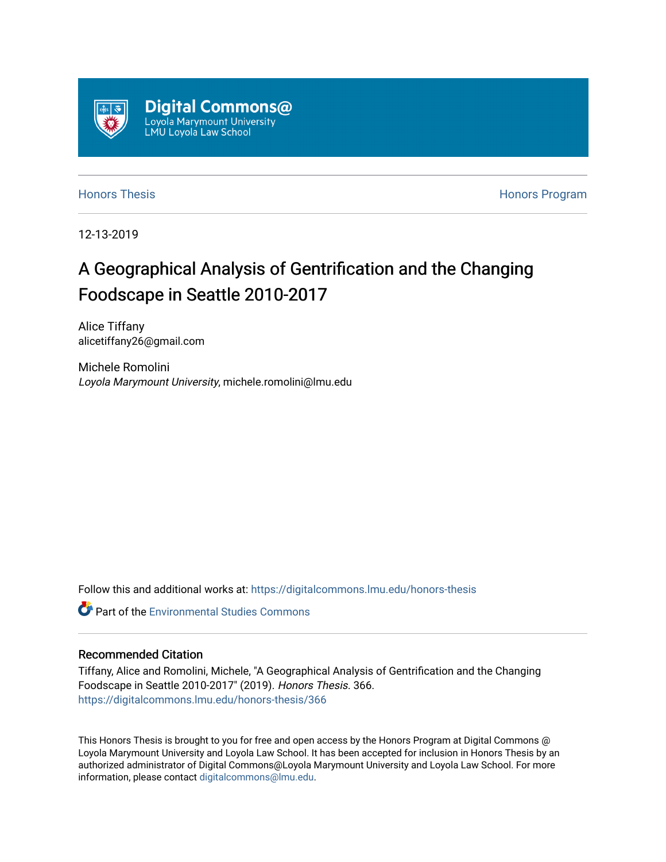

[Honors Thesis](https://digitalcommons.lmu.edu/honors-thesis) [Honors Program](https://digitalcommons.lmu.edu/lmu_honorsprogram) 

12-13-2019

# A Geographical Analysis of Gentrification and the Changing Foodscape in Seattle 2010-2017

Alice Tiffany alicetiffany26@gmail.com

Michele Romolini Loyola Marymount University, michele.romolini@lmu.edu

Follow this and additional works at: [https://digitalcommons.lmu.edu/honors-thesis](https://digitalcommons.lmu.edu/honors-thesis?utm_source=digitalcommons.lmu.edu%2Fhonors-thesis%2F366&utm_medium=PDF&utm_campaign=PDFCoverPages)

**C** Part of the [Environmental Studies Commons](http://network.bepress.com/hgg/discipline/1333?utm_source=digitalcommons.lmu.edu%2Fhonors-thesis%2F366&utm_medium=PDF&utm_campaign=PDFCoverPages)

#### Recommended Citation

Tiffany, Alice and Romolini, Michele, "A Geographical Analysis of Gentrification and the Changing Foodscape in Seattle 2010-2017" (2019). Honors Thesis. 366. [https://digitalcommons.lmu.edu/honors-thesis/366](https://digitalcommons.lmu.edu/honors-thesis/366?utm_source=digitalcommons.lmu.edu%2Fhonors-thesis%2F366&utm_medium=PDF&utm_campaign=PDFCoverPages) 

This Honors Thesis is brought to you for free and open access by the Honors Program at Digital Commons @ Loyola Marymount University and Loyola Law School. It has been accepted for inclusion in Honors Thesis by an authorized administrator of Digital Commons@Loyola Marymount University and Loyola Law School. For more information, please contact [digitalcommons@lmu.edu.](mailto:digitalcommons@lmu.edu)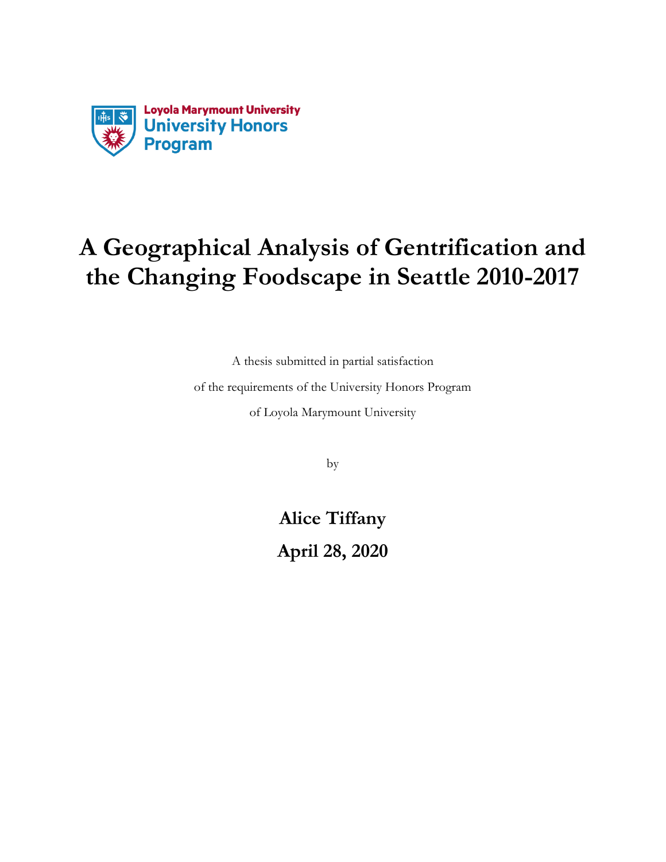

A thesis submitted in partial satisfaction of the requirements of the University Honors Program of Loyola Marymount University

by

**Alice Tiffany April 28, 2020**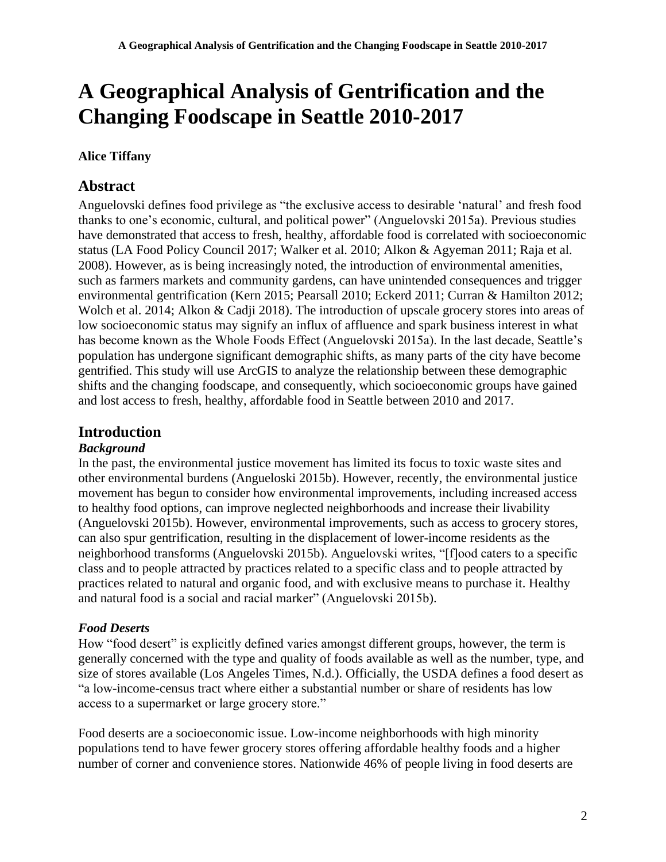## **Alice Tiffany**

# **Abstract**

Anguelovski defines food privilege as "the exclusive access to desirable 'natural' and fresh food thanks to one's economic, cultural, and political power" (Anguelovski 2015a). Previous studies have demonstrated that access to fresh, healthy, affordable food is correlated with socioeconomic status (LA Food Policy Council 2017; Walker et al. 2010; Alkon & Agyeman 2011; Raja et al. 2008). However, as is being increasingly noted, the introduction of environmental amenities, such as farmers markets and community gardens, can have unintended consequences and trigger environmental gentrification (Kern 2015; Pearsall 2010; Eckerd 2011; Curran & Hamilton 2012; Wolch et al. 2014; Alkon & Cadji 2018). The introduction of upscale grocery stores into areas of low socioeconomic status may signify an influx of affluence and spark business interest in what has become known as the Whole Foods Effect (Anguelovski 2015a). In the last decade, Seattle's population has undergone significant demographic shifts, as many parts of the city have become gentrified. This study will use ArcGIS to analyze the relationship between these demographic shifts and the changing foodscape, and consequently, which socioeconomic groups have gained and lost access to fresh, healthy, affordable food in Seattle between 2010 and 2017.

# **Introduction**

#### *Background*

In the past, the environmental justice movement has limited its focus to toxic waste sites and other environmental burdens (Angueloski 2015b). However, recently, the environmental justice movement has begun to consider how environmental improvements, including increased access to healthy food options, can improve neglected neighborhoods and increase their livability (Anguelovski 2015b). However, environmental improvements, such as access to grocery stores, can also spur gentrification, resulting in the displacement of lower-income residents as the neighborhood transforms (Anguelovski 2015b). Anguelovski writes, "[f]ood caters to a specific class and to people attracted by practices related to a specific class and to people attracted by practices related to natural and organic food, and with exclusive means to purchase it. Healthy and natural food is a social and racial marker" (Anguelovski 2015b).

#### *Food Deserts*

How "food desert" is explicitly defined varies amongst different groups, however, the term is generally concerned with the type and quality of foods available as well as the number, type, and size of stores available (Los Angeles Times, N.d.). Officially, the USDA defines a food desert as "a low-income-census tract where either a substantial number or share of residents has low access to a supermarket or large grocery store."

Food deserts are a socioeconomic issue. Low-income neighborhoods with high minority populations tend to have fewer grocery stores offering affordable healthy foods and a higher number of corner and convenience stores. Nationwide 46% of people living in food deserts are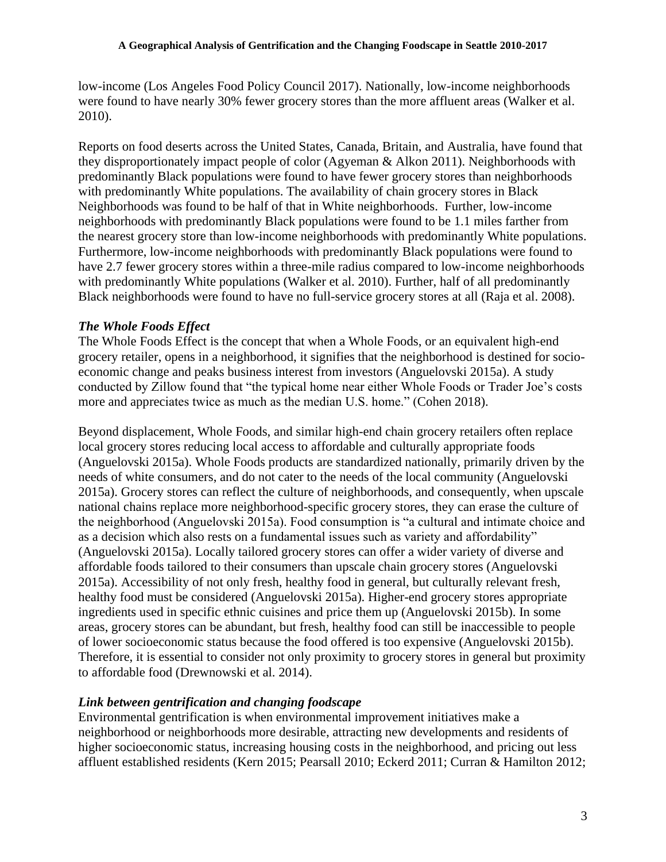low-income (Los Angeles Food Policy Council 2017). Nationally, low-income neighborhoods were found to have nearly 30% fewer grocery stores than the more affluent areas (Walker et al. 2010).

Reports on food deserts across the United States, Canada, Britain, and Australia, have found that they disproportionately impact people of color (Agyeman & Alkon 2011). Neighborhoods with predominantly Black populations were found to have fewer grocery stores than neighborhoods with predominantly White populations. The availability of chain grocery stores in Black Neighborhoods was found to be half of that in White neighborhoods. Further, low-income neighborhoods with predominantly Black populations were found to be 1.1 miles farther from the nearest grocery store than low-income neighborhoods with predominantly White populations. Furthermore, low-income neighborhoods with predominantly Black populations were found to have 2.7 fewer grocery stores within a three-mile radius compared to low-income neighborhoods with predominantly White populations (Walker et al. 2010). Further, half of all predominantly Black neighborhoods were found to have no full-service grocery stores at all (Raja et al. 2008).

#### *The Whole Foods Effect*

The Whole Foods Effect is the concept that when a Whole Foods, or an equivalent high-end grocery retailer, opens in a neighborhood, it signifies that the neighborhood is destined for socioeconomic change and peaks business interest from investors (Anguelovski 2015a). A study conducted by Zillow found that "the typical home near either Whole Foods or Trader Joe's costs more and appreciates twice as much as the median U.S. home." (Cohen 2018).

Beyond displacement, Whole Foods, and similar high-end chain grocery retailers often replace local grocery stores reducing local access to affordable and culturally appropriate foods (Anguelovski 2015a). Whole Foods products are standardized nationally, primarily driven by the needs of white consumers, and do not cater to the needs of the local community (Anguelovski 2015a). Grocery stores can reflect the culture of neighborhoods, and consequently, when upscale national chains replace more neighborhood-specific grocery stores, they can erase the culture of the neighborhood (Anguelovski 2015a). Food consumption is "a cultural and intimate choice and as a decision which also rests on a fundamental issues such as variety and affordability" (Anguelovski 2015a). Locally tailored grocery stores can offer a wider variety of diverse and affordable foods tailored to their consumers than upscale chain grocery stores (Anguelovski 2015a). Accessibility of not only fresh, healthy food in general, but culturally relevant fresh, healthy food must be considered (Anguelovski 2015a). Higher-end grocery stores appropriate ingredients used in specific ethnic cuisines and price them up (Anguelovski 2015b). In some areas, grocery stores can be abundant, but fresh, healthy food can still be inaccessible to people of lower socioeconomic status because the food offered is too expensive (Anguelovski 2015b). Therefore, it is essential to consider not only proximity to grocery stores in general but proximity to affordable food (Drewnowski et al. 2014).

#### *Link between gentrification and changing foodscape*

Environmental gentrification is when environmental improvement initiatives make a neighborhood or neighborhoods more desirable, attracting new developments and residents of higher socioeconomic status, increasing housing costs in the neighborhood, and pricing out less affluent established residents (Kern 2015; Pearsall 2010; Eckerd 2011; Curran & Hamilton 2012;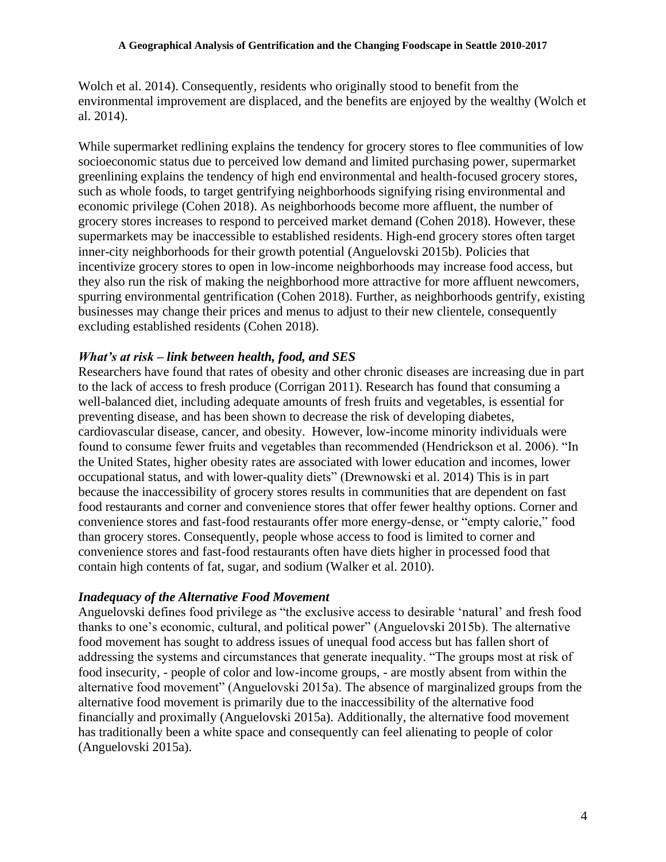Wolch et al. 2014). Consequently, residents who originally stood to benefit from the environmental improvement are displaced, and the benefits are enjoyed by the wealthy (Wolch et al. 2014).

While supermarket redlining explains the tendency for grocery stores to flee communities of low socioeconomic status due to perceived low demand and limited purchasing power, supermarket greenlining explains the tendency of high end environmental and health-focused grocery stores, such as whole foods, to target gentrifying neighborhoods signifying rising environmental and economic privilege (Cohen 2018). As neighborhoods become more affluent, the number of grocery stores increases to respond to perceived market demand (Cohen 2018). However, these supermarkets may be inaccessible to established residents. High-end grocery stores often target inner-city neighborhoods for their growth potential (Anguelovski 2015b). Policies that incentivize grocery stores to open in low-income neighborhoods may increase food access, but they also run the risk of making the neighborhood more attractive for more affluent newcomers, spurring environmental gentrification (Cohen 2018). Further, as neighborhoods gentrify, existing businesses may change their prices and menus to adjust to their new clientele, consequently excluding established residents (Cohen 2018).

#### *What's at risk – link between health, food, and SES*

Researchers have found that rates of obesity and other chronic diseases are increasing due in part to the lack of access to fresh produce (Corrigan 2011). Research has found that consuming a well-balanced diet, including adequate amounts of fresh fruits and vegetables, is essential for preventing disease, and has been shown to decrease the risk of developing diabetes, cardiovascular disease, cancer, and obesity. However, low-income minority individuals were found to consume fewer fruits and vegetables than recommended (Hendrickson et al. 2006). "In the United States, higher obesity rates are associated with lower education and incomes, lower occupational status, and with lower-quality diets" (Drewnowski et al. 2014) This is in part because the inaccessibility of grocery stores results in communities that are dependent on fast food restaurants and corner and convenience stores that offer fewer healthy options. Corner and convenience stores and fast-food restaurants offer more energy-dense, or "empty calorie," food than grocery stores. Consequently, people whose access to food is limited to corner and convenience stores and fast-food restaurants often have diets higher in processed food that contain high contents of fat, sugar, and sodium (Walker et al. 2010).

#### *Inadequacy of the Alternative Food Movement*

Anguelovski defines food privilege as "the exclusive access to desirable 'natural' and fresh food thanks to one's economic, cultural, and political power" (Anguelovski 2015b). The alternative food movement has sought to address issues of unequal food access but has fallen short of addressing the systems and circumstances that generate inequality. "The groups most at risk of food insecurity, - people of color and low-income groups, - are mostly absent from within the alternative food movement" (Anguelovski 2015a). The absence of marginalized groups from the alternative food movement is primarily due to the inaccessibility of the alternative food financially and proximally (Anguelovski 2015a). Additionally, the alternative food movement has traditionally been a white space and consequently can feel alienating to people of color (Anguelovski 2015a).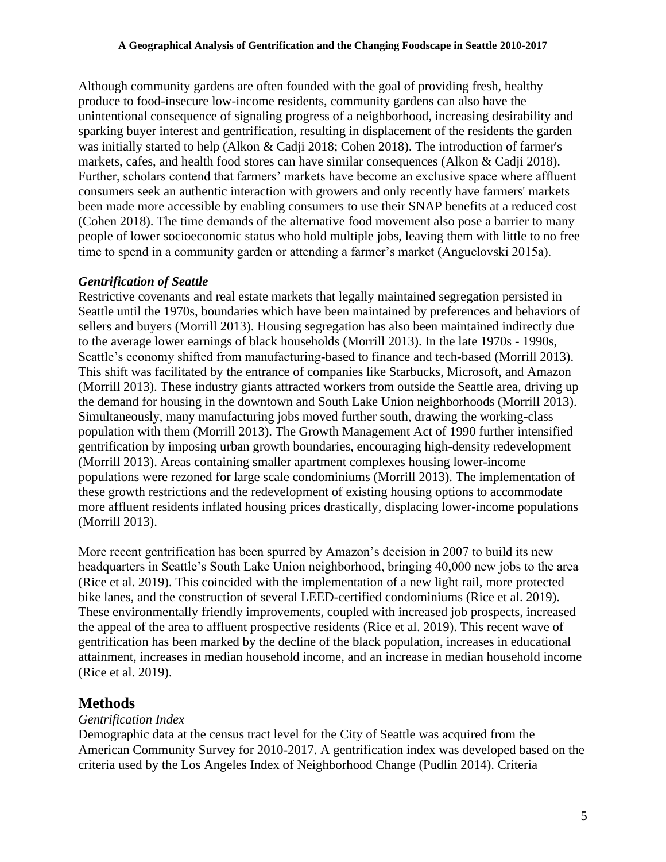Although community gardens are often founded with the goal of providing fresh, healthy produce to food-insecure low-income residents, community gardens can also have the unintentional consequence of signaling progress of a neighborhood, increasing desirability and sparking buyer interest and gentrification, resulting in displacement of the residents the garden was initially started to help (Alkon & Cadji 2018; Cohen 2018). The introduction of farmer's markets, cafes, and health food stores can have similar consequences (Alkon & Cadji 2018). Further, scholars contend that farmers' markets have become an exclusive space where affluent consumers seek an authentic interaction with growers and only recently have farmers' markets been made more accessible by enabling consumers to use their SNAP benefits at a reduced cost (Cohen 2018). The time demands of the alternative food movement also pose a barrier to many people of lower socioeconomic status who hold multiple jobs, leaving them with little to no free time to spend in a community garden or attending a farmer's market (Anguelovski 2015a).

#### *Gentrification of Seattle*

Restrictive covenants and real estate markets that legally maintained segregation persisted in Seattle until the 1970s, boundaries which have been maintained by preferences and behaviors of sellers and buyers (Morrill 2013). Housing segregation has also been maintained indirectly due to the average lower earnings of black households (Morrill 2013). In the late 1970s - 1990s, Seattle's economy shifted from manufacturing-based to finance and tech-based (Morrill 2013). This shift was facilitated by the entrance of companies like Starbucks, Microsoft, and Amazon (Morrill 2013). These industry giants attracted workers from outside the Seattle area, driving up the demand for housing in the downtown and South Lake Union neighborhoods (Morrill 2013). Simultaneously, many manufacturing jobs moved further south, drawing the working-class population with them (Morrill 2013). The Growth Management Act of 1990 further intensified gentrification by imposing urban growth boundaries, encouraging high-density redevelopment (Morrill 2013). Areas containing smaller apartment complexes housing lower-income populations were rezoned for large scale condominiums (Morrill 2013). The implementation of these growth restrictions and the redevelopment of existing housing options to accommodate more affluent residents inflated housing prices drastically, displacing lower-income populations (Morrill 2013).

More recent gentrification has been spurred by Amazon's decision in 2007 to build its new headquarters in Seattle's South Lake Union neighborhood, bringing 40,000 new jobs to the area (Rice et al. 2019). This coincided with the implementation of a new light rail, more protected bike lanes, and the construction of several LEED-certified condominiums (Rice et al. 2019). These environmentally friendly improvements, coupled with increased job prospects, increased the appeal of the area to affluent prospective residents (Rice et al. 2019). This recent wave of gentrification has been marked by the decline of the black population, increases in educational attainment, increases in median household income, and an increase in median household income (Rice et al. 2019).

#### **Methods**

#### *Gentrification Index*

Demographic data at the census tract level for the City of Seattle was acquired from the American Community Survey for 2010-2017. A gentrification index was developed based on the criteria used by the Los Angeles Index of Neighborhood Change (Pudlin 2014). Criteria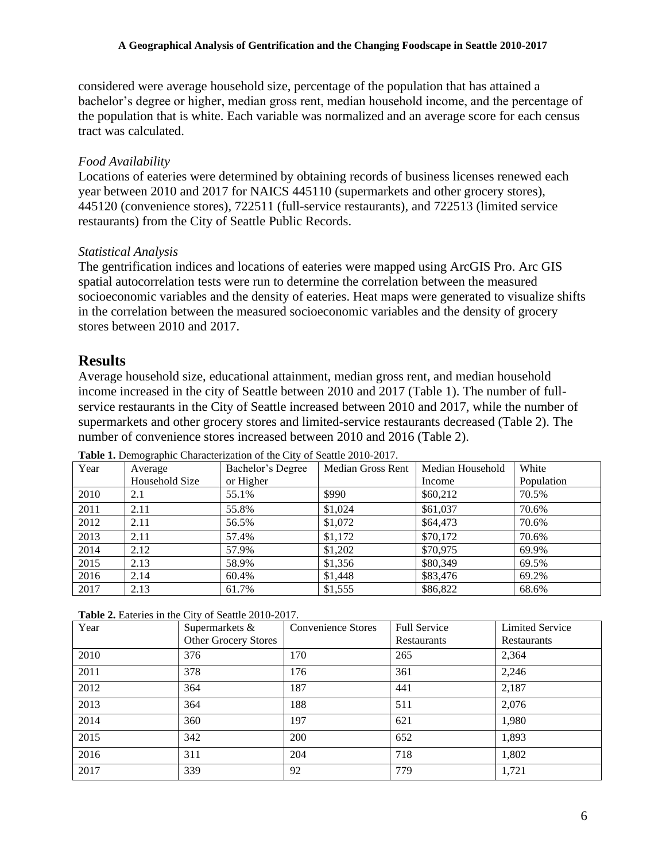considered were average household size, percentage of the population that has attained a bachelor's degree or higher, median gross rent, median household income, and the percentage of the population that is white. Each variable was normalized and an average score for each census tract was calculated.

#### *Food Availability*

Locations of eateries were determined by obtaining records of business licenses renewed each year between 2010 and 2017 for NAICS 445110 (supermarkets and other grocery stores), 445120 (convenience stores), 722511 (full-service restaurants), and 722513 (limited service restaurants) from the City of Seattle Public Records.

#### *Statistical Analysis*

The gentrification indices and locations of eateries were mapped using ArcGIS Pro. Arc GIS spatial autocorrelation tests were run to determine the correlation between the measured socioeconomic variables and the density of eateries. Heat maps were generated to visualize shifts in the correlation between the measured socioeconomic variables and the density of grocery stores between 2010 and 2017.

#### **Results**

Average household size, educational attainment, median gross rent, and median household income increased in the city of Seattle between 2010 and 2017 (Table 1). The number of fullservice restaurants in the City of Seattle increased between 2010 and 2017, while the number of supermarkets and other grocery stores and limited-service restaurants decreased (Table 2). The number of convenience stores increased between 2010 and 2016 (Table 2).

| Year | Average        | Bachelor's Degree | Median Gross Rent | Median Household | White      |
|------|----------------|-------------------|-------------------|------------------|------------|
|      | Household Size | or Higher         |                   | Income           | Population |
| 2010 | 2.1            | 55.1%             | \$990             | \$60,212         | 70.5%      |
| 2011 | 2.11           | 55.8%             | \$1,024           | \$61,037         | 70.6%      |
| 2012 | 2.11           | 56.5%             | \$1,072           | \$64,473         | 70.6%      |
| 2013 | 2.11           | 57.4%             | \$1,172           | \$70,172         | 70.6%      |
| 2014 | 2.12           | 57.9%             | \$1,202           | \$70,975         | 69.9%      |
| 2015 | 2.13           | 58.9%             | \$1,356           | \$80,349         | 69.5%      |
| 2016 | 2.14           | 60.4%             | \$1,448           | \$83,476         | 69.2%      |
| 2017 | 2.13           | 61.7%             | \$1,555           | \$86,822         | 68.6%      |

**Table 1.** Demographic Characterization of the City of Seattle 2010-2017.

|  |  |  |  |  | <b>Table 2.</b> Eateries in the City of Seattle 2010-2017. |
|--|--|--|--|--|------------------------------------------------------------|
|--|--|--|--|--|------------------------------------------------------------|

| Year | Supermarkets &              | <b>Convenience Stores</b> | Full Service | <b>Limited Service</b> |
|------|-----------------------------|---------------------------|--------------|------------------------|
|      | <b>Other Grocery Stores</b> |                           | Restaurants  | Restaurants            |
| 2010 | 376                         | 170                       | 265          | 2,364                  |
| 2011 | 378                         | 176                       | 361          | 2,246                  |
| 2012 | 364                         | 187                       | 441          | 2,187                  |
| 2013 | 364                         | 188                       | 511          | 2,076                  |
| 2014 | 360                         | 197                       | 621          | 1,980                  |
| 2015 | 342                         | 200                       | 652          | 1,893                  |
| 2016 | 311                         | 204                       | 718          | 1,802                  |
| 2017 | 339                         | 92                        | 779          | 1,721                  |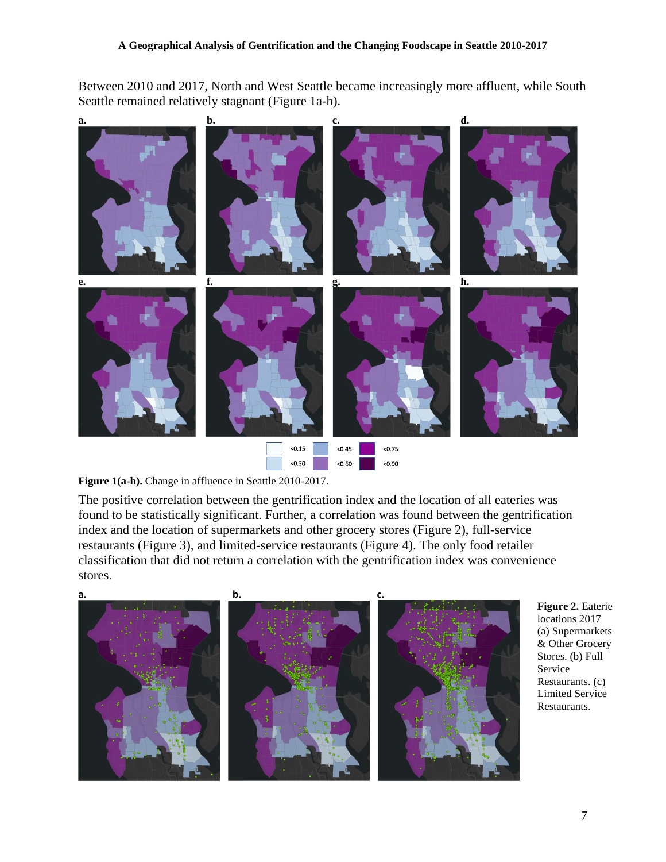Between 2010 and 2017, North and West Seattle became increasingly more affluent, while South Seattle remained relatively stagnant (Figure 1a-h).





The positive correlation between the gentrification index and the location of all eateries was found to be statistically significant. Further, a correlation was found between the gentrification index and the location of supermarkets and other grocery stores (Figure 2), full-service restaurants (Figure 3), and limited-service restaurants (Figure 4). The only food retailer classification that did not return a correlation with the gentrification index was convenience stores.



**Figure 2.** Eaterie locations 2017 (a) Supermarkets & Other Grocery Stores. (b) Full Service Restaurants. (c) Limited Service Restaurants.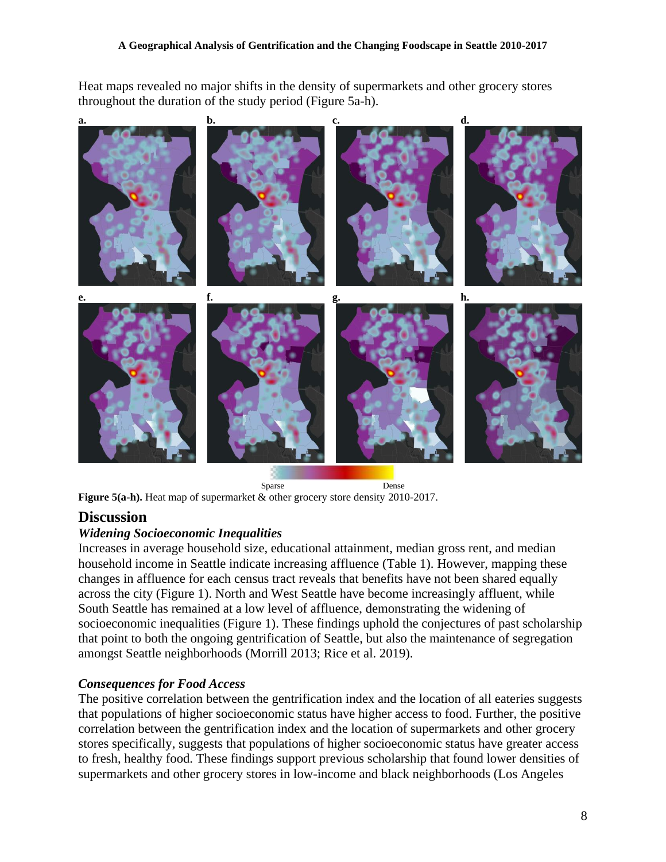Heat maps revealed no major shifts in the density of supermarkets and other grocery stores throughout the duration of the study period (Figure 5a-h).



 Sparse Dense **Figure 5(a-h).** Heat map of supermarket & other grocery store density 2010-2017.

# **Discussion**

#### *Widening Socioeconomic Inequalities*

Increases in average household size, educational attainment, median gross rent, and median household income in Seattle indicate increasing affluence (Table 1). However, mapping these changes in affluence for each census tract reveals that benefits have not been shared equally across the city (Figure 1). North and West Seattle have become increasingly affluent, while South Seattle has remained at a low level of affluence, demonstrating the widening of socioeconomic inequalities (Figure 1). These findings uphold the conjectures of past scholarship that point to both the ongoing gentrification of Seattle, but also the maintenance of segregation amongst Seattle neighborhoods (Morrill 2013; Rice et al. 2019).

#### *Consequences for Food Access*

The positive correlation between the gentrification index and the location of all eateries suggests that populations of higher socioeconomic status have higher access to food. Further, the positive correlation between the gentrification index and the location of supermarkets and other grocery stores specifically, suggests that populations of higher socioeconomic status have greater access to fresh, healthy food. These findings support previous scholarship that found lower densities of supermarkets and other grocery stores in low-income and black neighborhoods (Los Angeles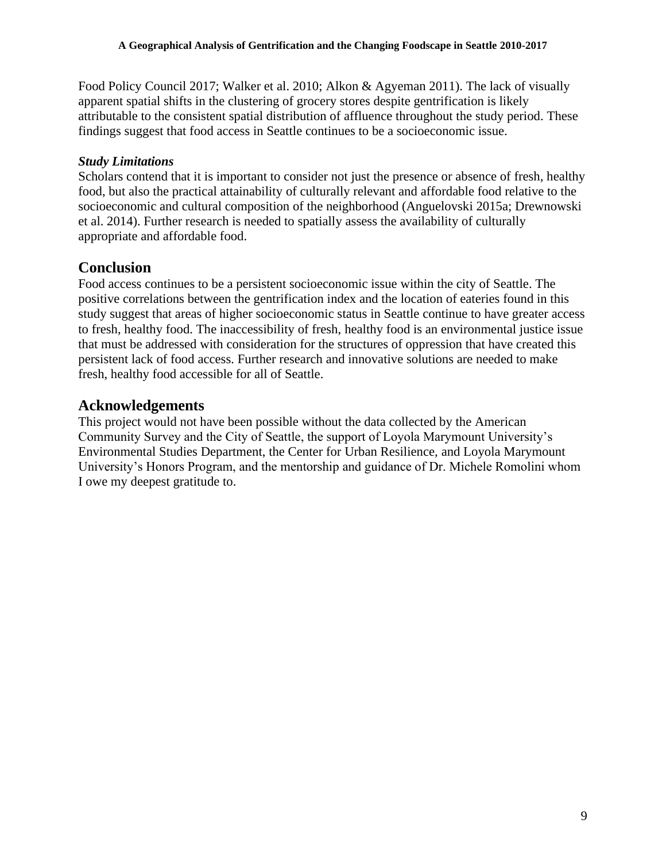Food Policy Council 2017; Walker et al. 2010; Alkon & Agyeman 2011). The lack of visually apparent spatial shifts in the clustering of grocery stores despite gentrification is likely attributable to the consistent spatial distribution of affluence throughout the study period. These findings suggest that food access in Seattle continues to be a socioeconomic issue.

#### *Study Limitations*

Scholars contend that it is important to consider not just the presence or absence of fresh, healthy food, but also the practical attainability of culturally relevant and affordable food relative to the socioeconomic and cultural composition of the neighborhood (Anguelovski 2015a; Drewnowski et al. 2014). Further research is needed to spatially assess the availability of culturally appropriate and affordable food.

## **Conclusion**

Food access continues to be a persistent socioeconomic issue within the city of Seattle. The positive correlations between the gentrification index and the location of eateries found in this study suggest that areas of higher socioeconomic status in Seattle continue to have greater access to fresh, healthy food. The inaccessibility of fresh, healthy food is an environmental justice issue that must be addressed with consideration for the structures of oppression that have created this persistent lack of food access. Further research and innovative solutions are needed to make fresh, healthy food accessible for all of Seattle.

# **Acknowledgements**

This project would not have been possible without the data collected by the American Community Survey and the City of Seattle, the support of Loyola Marymount University's Environmental Studies Department, the Center for Urban Resilience, and Loyola Marymount University's Honors Program, and the mentorship and guidance of Dr. Michele Romolini whom I owe my deepest gratitude to.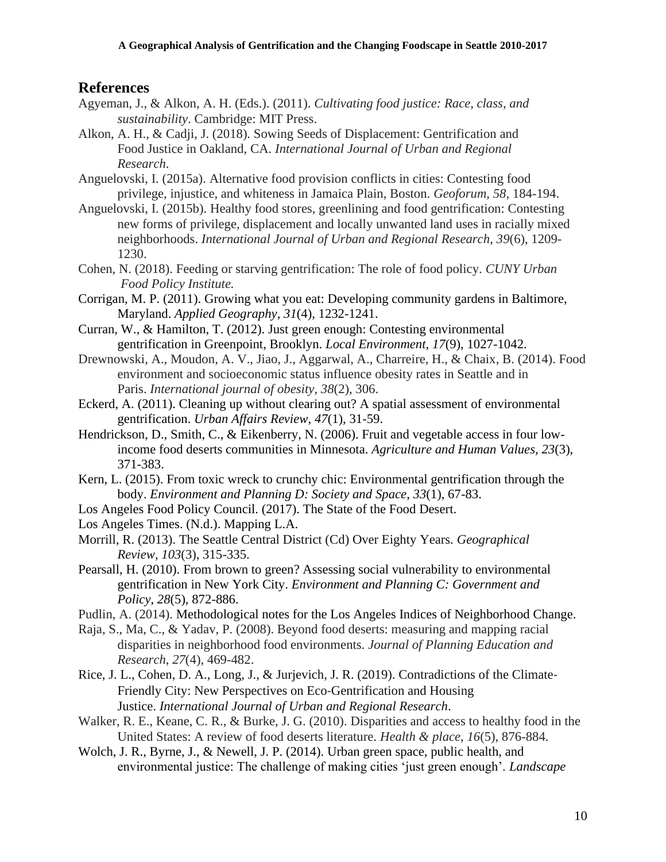### **References**

- Agyeman, J., & Alkon, A. H. (Eds.). (2011). *Cultivating food justice: Race, class, and sustainability*. Cambridge: MIT Press.
- Alkon, A. H., & Cadji, J. (2018). Sowing Seeds of Displacement: Gentrification and Food Justice in Oakland, CA. *International Journal of Urban and Regional Research*.
- Anguelovski, I. (2015a). Alternative food provision conflicts in cities: Contesting food privilege, injustice, and whiteness in Jamaica Plain, Boston. *Geoforum*, *58*, 184-194.
- Anguelovski, I. (2015b). Healthy food stores, greenlining and food gentrification: Contesting new forms of privilege, displacement and locally unwanted land uses in racially mixed neighborhoods. *International Journal of Urban and Regional Research*, *39*(6), 1209- 1230.
- Cohen, N. (2018). Feeding or starving gentrification: The role of food policy. *CUNY Urban Food Policy Institute.*
- Corrigan, M. P. (2011). Growing what you eat: Developing community gardens in Baltimore, Maryland. *Applied Geography*, *31*(4), 1232-1241.
- Curran, W., & Hamilton, T. (2012). Just green enough: Contesting environmental gentrification in Greenpoint, Brooklyn. *Local Environment*, *17*(9), 1027-1042.
- Drewnowski, A., Moudon, A. V., Jiao, J., Aggarwal, A., Charreire, H., & Chaix, B. (2014). Food environment and socioeconomic status influence obesity rates in Seattle and in Paris. *International journal of obesity*, *38*(2), 306.
- Eckerd, A. (2011). Cleaning up without clearing out? A spatial assessment of environmental gentrification. *Urban Affairs Review*, *47*(1), 31-59.
- Hendrickson, D., Smith, C., & Eikenberry, N. (2006). Fruit and vegetable access in four lowincome food deserts communities in Minnesota. *Agriculture and Human Values*, *23*(3), 371-383.
- Kern, L. (2015). From toxic wreck to crunchy chic: Environmental gentrification through the body. *Environment and Planning D: Society and Space*, *33*(1), 67-83.
- Los Angeles Food Policy Council. (2017). The State of the Food Desert.
- Los Angeles Times. (N.d.). Mapping L.A.
- Morrill, R. (2013). The Seattle Central District (Cd) Over Eighty Years. *Geographical Review*, *103*(3), 315-335.
- Pearsall, H. (2010). From brown to green? Assessing social vulnerability to environmental gentrification in New York City. *Environment and Planning C: Government and Policy*, *28*(5), 872-886.
- Pudlin, A. (2014). Methodological notes for the Los Angeles Indices of Neighborhood Change.
- Raja, S., Ma, C., & Yadav, P. (2008). Beyond food deserts: measuring and mapping racial disparities in neighborhood food environments. *Journal of Planning Education and Research*, *27*(4), 469-482.
- Rice, J. L., Cohen, D. A., Long, J., & Jurjevich, J. R. (2019). Contradictions of the Climate‐ Friendly City: New Perspectives on Eco-Gentrification and Housing Justice. *International Journal of Urban and Regional Research*.
- Walker, R. E., Keane, C. R., & Burke, J. G. (2010). Disparities and access to healthy food in the United States: A review of food deserts literature. *Health & place*, *16*(5), 876-884.
- Wolch, J. R., Byrne, J., & Newell, J. P. (2014). Urban green space, public health, and environmental justice: The challenge of making cities 'just green enough'. *Landscape*